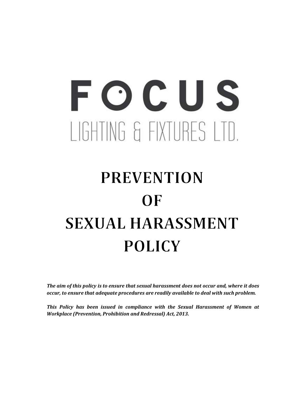# FOCUS LIGHTING & FIXTURES LTD.

# **PREVENTION**  $OF$ **SEXUAL HARASSMENT POLICY**

The aim of this policy is to ensure that sexual harassment does not occur and, where it does occur, to ensure that adequate procedures are readily available to deal with such problem.

This Policy has been issued in compliance with the Sexual Harassment of Women at Workplace (Prevention, Prohibition and Redressal) Act, 2013.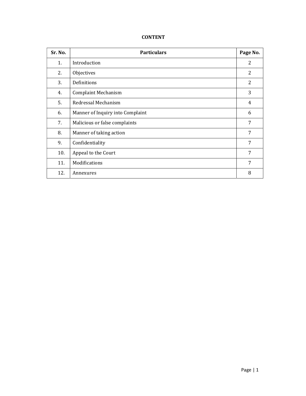## CONTENT

| Sr. No. | <b>Particulars</b>               | Page No. |
|---------|----------------------------------|----------|
| 1.      | Introduction                     | 2        |
| 2.      | Objectives                       | 2        |
| 3.      | Definitions                      | 2        |
| 4.      | <b>Complaint Mechanism</b>       | 3        |
| 5.      | Redressal Mechanism              | 4        |
| 6.      | Manner of Inquiry into Complaint | 6        |
| 7.      | Malicious or false complaints    | 7        |
| 8.      | Manner of taking action          | 7        |
| 9.      | Confidentiality                  | 7        |
| 10.     | Appeal to the Court              | 7        |
| 11.     | Modifications                    | 7        |
| 12.     | Annexures                        | 8        |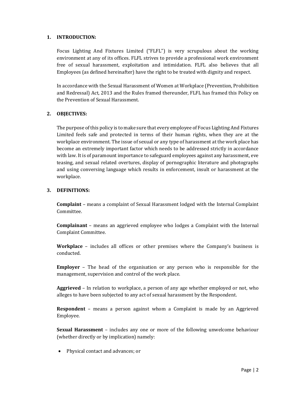#### 1. INTRODUCTION:

Focus Lighting And Fixtures Limited ("FLFL") is very scrupulous about the working environment at any of its offices. FLFL strives to provide a professional work environment free of sexual harassment, exploitation and intimidation. FLFL also believes that all Employees (as defined hereinafter) have the right to be treated with dignity and respect.

In accordance with the Sexual Harassment of Women at Workplace (Prevention, Prohibition and Redressal) Act, 2013 and the Rules framed thereunder, FLFL has framed this Policy on the Prevention of Sexual Harassment.

#### 2. OBJECTIVES:

The purpose of this policy is to make sure that every employee of Focus Lighting And Fixtures Limited feels safe and protected in terms of their human rights, when they are at the workplace environment. The issue of sexual or any type of harassment at the work place has become an extremely important factor which needs to be addressed strictly in accordance with law. It is of paramount importance to safeguard employees against any harassment, eve teasing, and sexual related overtures, display of pornographic literature and photographs and using conversing language which results in enforcement, insult or harassment at the workplace.

#### 3. DEFINITIONS:

Complaint – means a complaint of Sexual Harassment lodged with the Internal Complaint Committee.

Complainant – means an aggrieved employee who lodges a Complaint with the Internal Complaint Committee.

Workplace – includes all offices or other premises where the Company's business is conducted.

Employer – The head of the organisation or any person who is responsible for the management, supervision and control of the work place.

Aggrieved – In relation to workplace, a person of any age whether employed or not, who alleges to have been subjected to any act of sexual harassment by the Respondent.

Respondent – means a person against whom a Complaint is made by an Aggrieved Employee.

Sexual Harassment – includes any one or more of the following unwelcome behaviour (whether directly or by implication) namely:

Physical contact and advances; or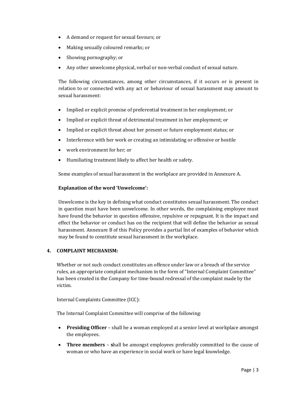- A demand or request for sexual favours; or
- Making sexually coloured remarks; or
- Showing pornography; or
- Any other unwelcome physical, verbal or non-verbal conduct of sexual nature.

The following circumstances, among other circumstances, if it occurs or is present in relation to or connected with any act or behaviour of sexual harassment may amount to sexual harassment:

- Implied or explicit promise of preferential treatment in her employment; or
- Implied or explicit threat of detrimental treatment in her employment; or
- Implied or explicit threat about her present or future employment status; or
- Interference with her work or creating an intimidating or offensive or hostile
- work environment for her; or
- Humiliating treatment likely to affect her health or safety.

Some examples of sexual harassment in the workplace are provided in Annexure A.

#### Explanation of the word 'Unwelcome':

Unwelcome is the key in defining what conduct constitutes sexual harassment. The conduct in question must have been unwelcome. In other words, the complaining employee must have found the behavior in question offensive, repulsive or repugnant. It is the impact and effect the behavior or conduct has on the recipient that will define the behavior as sexual harassment. Annexure B of this Policy provides a partial list of examples of behavior which may be found to constitute sexual harassment in the workplace.

#### 4. COMPLAINT MECHANISM:

Whether or not such conduct constitutes an offence under law or a breach of the service rules, an appropriate complaint mechanism in the form of "Internal Complaint Committee" has been created in the Company for time-bound redressal of the complaint made by the victim.

Internal Complaints Committee (ICC):

The Internal Complaint Committee will comprise of the following:

- Presiding Officer shall be a woman employed at a senior level at workplace amongst the employees.
- Three members shall be amongst employees preferably committed to the cause of woman or who have an experience in social work or have legal knowledge.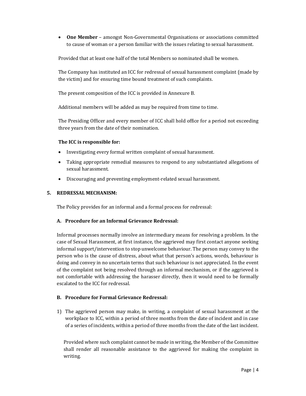One Member – amongst Non-Governmental Organisations or associations committed to cause of woman or a person familiar with the issues relating to sexual harassment.

Provided that at least one half of the total Members so nominated shall be women.

The Company has instituted an ICC for redressal of sexual harassment complaint (made by the victim) and for ensuring time bound treatment of such complaints.

The present composition of the ICC is provided in Annexure B.

Additional members will be added as may be required from time to time.

The Presiding Officer and every member of ICC shall hold office for a period not exceeding three years from the date of their nomination.

#### The ICC is responsible for:

- Investigating every formal written complaint of sexual harassment.
- Taking appropriate remedial measures to respond to any substantiated allegations of sexual harassment.
- Discouraging and preventing employment-related sexual harassment.

#### 5. REDRESSAL MECHANISM:

The Policy provides for an informal and a formal process for redressal:

#### A. Procedure for an Informal Grievance Redressal:

Informal processes normally involve an intermediary means for resolving a problem. In the case of Sexual Harassment, at first instance, the aggrieved may first contact anyone seeking informal support/intervention to stop unwelcome behaviour. The person may convey to the person who is the cause of distress, about what that person's actions, words, behaviour is doing and convey in no uncertain terms that such behaviour is not appreciated. In the event of the complaint not being resolved through an informal mechanism, or if the aggrieved is not comfortable with addressing the harasser directly, then it would need to be formally escalated to the ICC for redressal.

#### B. Procedure for Formal Grievance Redressal:

1) The aggrieved person may make, in writing, a complaint of sexual harassment at the workplace to ICC, within a period of three months from the date of incident and in case of a series of incidents, within a period of three months from the date of the last incident.

Provided where such complaint cannot be made in writing, the Member of the Committee shall render all reasonable assistance to the aggrieved for making the complaint in writing.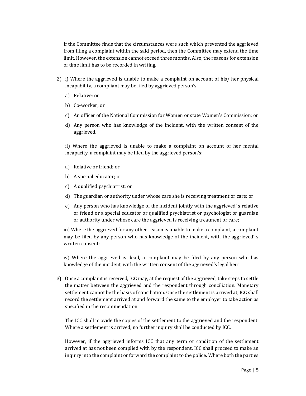If the Committee finds that the circumstances were such which prevented the aggrieved from filing a complaint within the said period, then the Committee may extend the time limit. However, the extension cannot exceed three months. Also, the reasons for extension of time limit has to be recorded in writing.

- 2) i) Where the aggrieved is unable to make a complaint on account of his/ her physical incapability, a compliant may be filed by aggrieved person's –
	- a) Relative; or
	- b) Co-worker; or
	- c) An officer of the National Commission for Women or state Women's Commission; or
	- d) Any person who has knowledge of the incident, with the written consent of the aggrieved.

ii) Where the aggrieved is unable to make a complaint on account of her mental incapacity, a complaint may be filed by the aggrieved person's:

- a) Relative or friend; or
- b) A special educator; or
- c) A qualified psychiatrist; or
- d) The guardian or authority under whose care she is receiving treatment or care; or
- e) Any person who has knowledge of the incident jointly with the aggrieved' s relative or friend or a special educator or qualified psychiatrist or psychologist or guardian or authority under whose care the aggrieved is receiving treatment or care;

iii) Where the aggrieved for any other reason is unable to make a complaint, a complaint may be filed by any person who has knowledge of the incident, with the aggrieved' s written consent;

iv) Where the aggrieved is dead, a complaint may be filed by any person who has knowledge of the incident, with the written consent of the aggrieved's legal heir.

3) Once a complaint is received, ICC may, at the request of the aggrieved, take steps to settle the matter between the aggrieved and the respondent through conciliation. Monetary settlement cannot be the basis of conciliation. Once the settlement is arrived at, ICC shall record the settlement arrived at and forward the same to the employer to take action as specified in the recommendation.

The ICC shall provide the copies of the settlement to the aggrieved and the respondent. Where a settlement is arrived, no further inquiry shall be conducted by ICC.

However, if the aggrieved informs ICC that any term or condition of the settlement arrived at has not been complied with by the respondent, ICC shall proceed to make an inquiry into the complaint or forward the complaint to the police. Where both the parties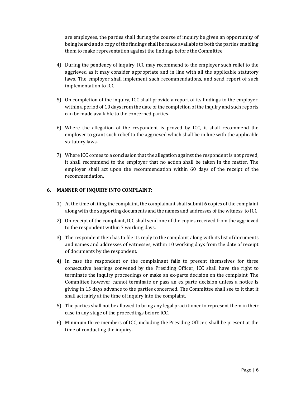are employees, the parties shall during the course of inquiry be given an opportunity of being heard and a copy of the findings shall be made available to both the parties enabling them to make representation against the findings before the Committee.

- 4) During the pendency of inquiry, ICC may recommend to the employer such relief to the aggrieved as it may consider appropriate and in line with all the applicable statutory laws. The employer shall implement such recommendations, and send report of such implementation to ICC.
- 5) On completion of the inquiry, ICC shall provide a report of its findings to the employer, within a period of 10 days from the date of the completion of the inquiry and such reports can be made available to the concerned parties.
- 6) Where the allegation of the respondent is proved by ICC, it shall recommend the employer to grant such relief to the aggrieved which shall be in line with the applicable statutory laws.
- 7) Where ICC comes to a conclusion that the allegation against the respondent is not proved, it shall recommend to the employer that no action shall be taken in the matter. The employer shall act upon the recommendation within 60 days of the receipt of the recommendation.

#### 6. MANNER OF INQUIRY INTO COMPLAINT:

- 1) At the time of filing the complaint, the complainant shall submit 6 copies of the complaint along with the supporting documents and the names and addresses of the witness, to ICC.
- 2) On receipt of the complaint, ICC shall send one of the copies received from the aggrieved to the respondent within 7 working days.
- 3) The respondent then has to file its reply to the complaint along with its list of documents and names and addresses of witnesses, within 10 working days from the date of receipt of documents by the respondent.
- 4) In case the respondent or the complainant fails to present themselves for three consecutive hearings convened by the Presiding Officer, ICC shall have the right to terminate the inquiry proceedings or make an ex-parte decision on the complaint. The Committee however cannot terminate or pass an ex parte decision unless a notice is giving in 15 days advance to the parties concerned. The Committee shall see to it that it shall act fairly at the time of inquiry into the complaint.
- 5) The parties shall not be allowed to bring any legal practitioner to represent them in their case in any stage of the proceedings before ICC.
- 6) Minimum three members of ICC, including the Presiding Officer, shall be present at the time of conducting the inquiry.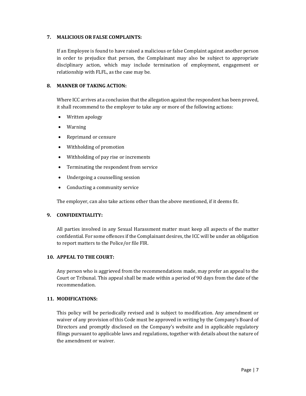#### 7. MALICIOUS OR FALSE COMPLAINTS:

If an Employee is found to have raised a malicious or false Complaint against another person in order to prejudice that person, the Complainant may also be subject to appropriate disciplinary action, which may include termination of employment, engagement or relationship with FLFL, as the case may be.

#### 8. MANNER OF TAKING ACTION:

Where ICC arrives at a conclusion that the allegation against the respondent has been proved, it shall recommend to the employer to take any or more of the following actions:

- Written apology
- Warning
- Reprimand or censure
- Withholding of promotion
- Withholding of pay rise or increments
- Terminating the respondent from service
- Undergoing a counselling session
- Conducting a community service

The employer, can also take actions other than the above mentioned, if it deems fit.

#### 9. CONFIDENTIALITY:

All parties involved in any Sexual Harassment matter must keep all aspects of the matter confidential. For some offences if the Complainant desires, the ICC will be under an obligation to report matters to the Police/or file FIR.

#### 10. APPEAL TO THE COURT:

Any person who is aggrieved from the recommendations made, may prefer an appeal to the Court or Tribunal. This appeal shall be made within a period of 90 days from the date of the recommendation.

#### 11. MODIFICATIONS:

This policy will be periodically revised and is subject to modification. Any amendment or waiver of any provision of this Code must be approved in writing by the Company's Board of Directors and promptly disclosed on the Company's website and in applicable regulatory filings pursuant to applicable laws and regulations, together with details about the nature of the amendment or waiver.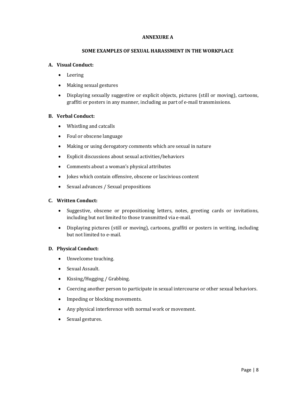#### ANNEXURE A

#### SOME EXAMPLES OF SEXUAL HARASSMENT IN THE WORKPLACE

#### A. Visual Conduct:

- Leering
- Making sexual gestures
- Displaying sexually suggestive or explicit objects, pictures (still or moving), cartoons, graffiti or posters in any manner, including as part of e-mail transmissions.

#### B. Verbal Conduct:

- Whistling and catcalls
- Foul or obscene language
- Making or using derogatory comments which are sexual in nature
- Explicit discussions about sexual activities/behaviors
- Comments about a woman's physical attributes
- Jokes which contain offensive, obscene or lascivious content
- Sexual advances / Sexual propositions

#### C. Written Conduct:

- Suggestive, obscene or propositioning letters, notes, greeting cards or invitations, including but not limited to those transmitted via e-mail.
- Displaying pictures (still or moving), cartoons, graffiti or posters in writing, including but not limited to e-mail.

#### D. Physical Conduct:

- Unwelcome touching.
- Sexual Assault.
- Kissing/Hugging / Grabbing.
- Coercing another person to participate in sexual intercourse or other sexual behaviors.
- Impeding or blocking movements.
- Any physical interference with normal work or movement.
- Sexual gestures.